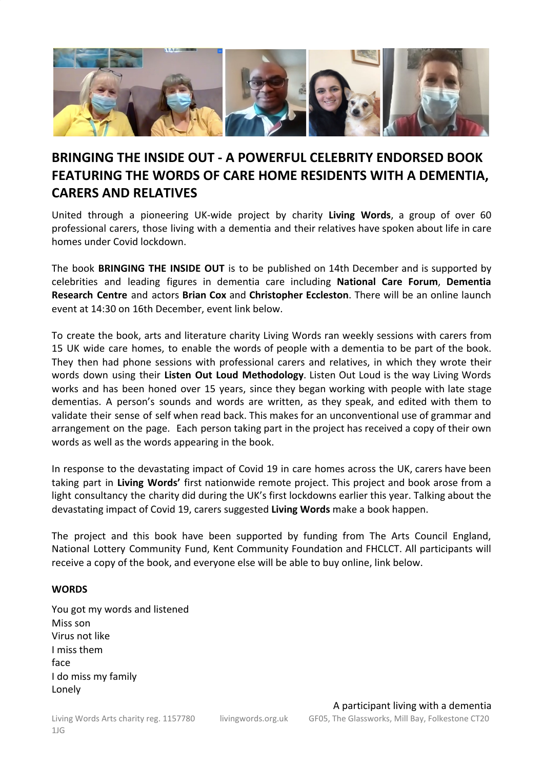

# **BRINGING THE INSIDE OUT - A POWERFUL CELEBRITY ENDORSED BOOK FEATURING THE WORDS OF CARE HOME RESIDENTS WITH A DEMENTIA, CARERS AND RELATIVES**

United through a pioneering UK-wide project by charity **Living Words**, a group of over 60 professional carers, those living with a dementia and their relatives have spoken about life in care homes under Covid lockdown.

The book **BRINGING THE INSIDE OUT** is to be published on 14th December and is supported by celebrities and leading figures in dementia care including **National Care Forum**, **Dementia Research Centre** and actors **Brian Cox** and **Christopher Eccleston**. There will be an online launch event at 14:30 on 16th December, event link below.

To create the book, arts and literature charity Living Words ran weekly sessions with carers from 15 UK wide care homes, to enable the words of people with a dementia to be part of the book. They then had phone sessions with professional carers and relatives, in which they wrote their words down using their **Listen Out Loud Methodology**. Listen Out Loud is the way Living Words works and has been honed over 15 years, since they began working with people with late stage dementias. A person's sounds and words are written, as they speak, and edited with them to validate their sense of self when read back. This makes for an unconventional use of grammar and arrangement on the page. Each person taking part in the project has received a copy of their own words as well as the words appearing in the book.

In response to the devastating impact of Covid 19 in care homes across the UK, carers have been taking part in **Living Words'** first nationwide remote project. This project and book arose from a light consultancy the charity did during the UK's first lockdowns earlier this year. Talking about the devastating impact of Covid 19, carers suggested **Living Words** make a book happen.

The project and this book have been supported by funding from The Arts Council England, National Lottery Community Fund, Kent Community Foundation and FHCLCT. All participants will receive a copy of the book, and everyone else will be able to buy online, link below.

### **WORDS**

You got my words and listened Miss son Virus not like I miss them face I do miss my family Lonely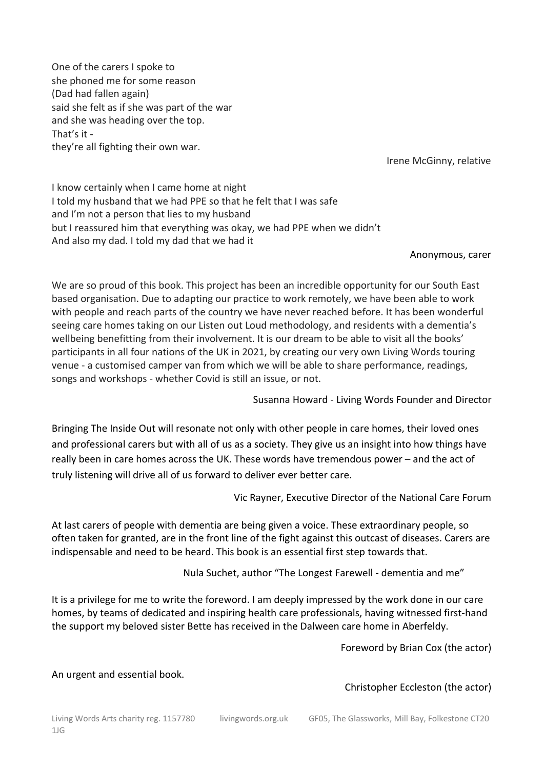One of the carers I spoke to she phoned me for some reason (Dad had fallen again) said she felt as if she was part of the war and she was heading over the top. That's it they're all fighting their own war.

Irene McGinny, relative

I know certainly when I came home at night I told my husband that we had PPE so that he felt that I was safe and I'm not a person that lies to my husband but I reassured him that everything was okay, we had PPE when we didn't And also my dad. I told my dad that we had it

### Anonymous, carer

We are so proud of this book. This project has been an incredible opportunity for our South East based organisation. Due to adapting our practice to work remotely, we have been able to work with people and reach parts of the country we have never reached before. It has been wonderful seeing care homes taking on our Listen out Loud methodology, and residents with a dementia's wellbeing benefitting from their involvement. It is our dream to be able to visit all the books' participants in all four nations of the UK in 2021, by creating our very own Living Words touring venue - a customised camper van from which we will be able to share performance, readings, songs and workshops - whether Covid is still an issue, or not.

Susanna Howard - Living Words Founder and Director

Bringing The Inside Out will resonate not only with other people in care homes, their loved ones and professional carers but with all of us as a society. They give us an insight into how things have really been in care homes across the UK. These words have tremendous power – and the act of truly listening will drive all of us forward to deliver ever better care.

Vic Rayner, Executive Director of the National Care Forum

At last carers of people with dementia are being given a voice. These extraordinary people, so often taken for granted, are in the front line of the fight against this outcast of diseases. Carers are indispensable and need to be heard. This book is an essential first step towards that.

Nula Suchet, author "The Longest Farewell - dementia and me"

It is a privilege for me to write the foreword. I am deeply impressed by the work done in our care homes, by teams of dedicated and inspiring health care professionals, having witnessed first-hand the support my beloved sister Bette has received in the Dalween care home in Aberfeldy.

Foreword by Brian Cox (the actor)

An urgent and essential book.

Christopher Eccleston (the actor)